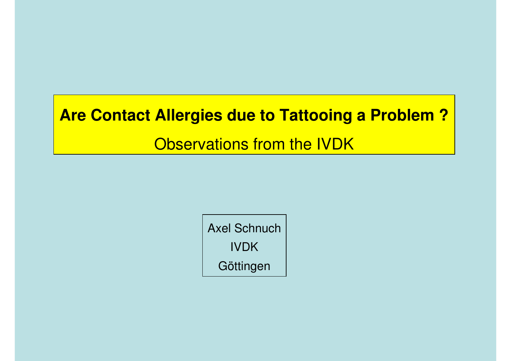### **Are Contact Allergies due to Tattooing a Problem ?**

Observations from the IVDK

Axel SchnuchIVDK**Göttingen**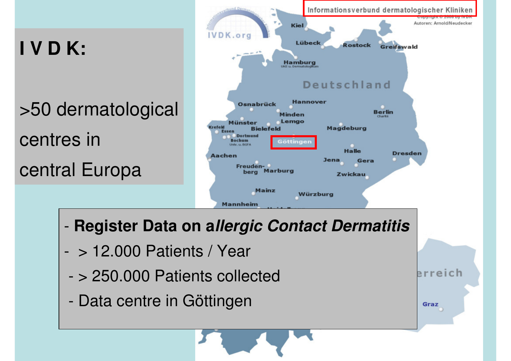# **I V D K:**

-

>50 dermatologicalcentres incentral Europa



erreich

Graz

- -> 12.000 Patients / Year
- -> 250.000 Patients collected
- -Data centre in Göttingen

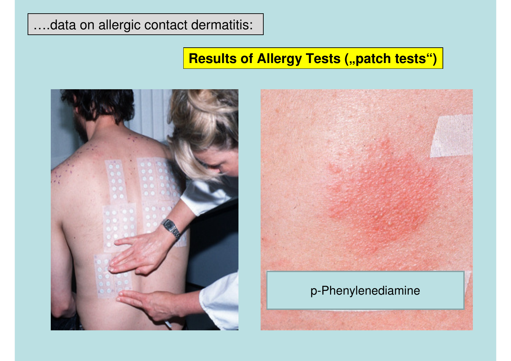#### ….data on allergic contact dermatitis:

### **Results of Allergy Tests ("patch tests")**





#### p-Phenylenediamine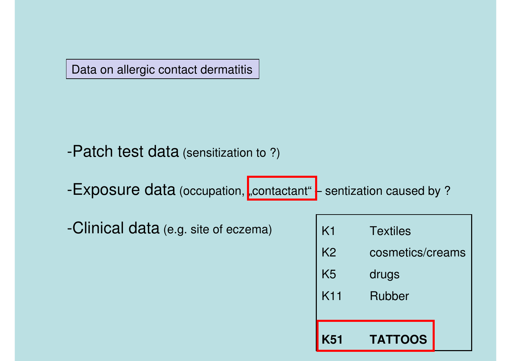Data on allergic contact dermatitis

-Patch test data (sensitization to ?)

-Exposure data (occupation, <mark>"contactant" -</mark> sentization caused by ?

-Clinical data (e.g. site of eczema)  $\begin{matrix} \phantom{\bullet} & \phantom{\dagger} & \phantom{\dagger} & \phantom{\dagger} & \phantom{\dagger} & \phantom{\dagger} & \phantom{\dagger} & \phantom{\dagger} & \phantom{\dagger} & \phantom{\dagger} & \phantom{\dagger} & \phantom{\dagger} & \phantom{\dagger} & \phantom{\dagger} & \phantom{\dagger} & \phantom{\dagger} & \phantom{\dagger} & \phantom{\dagger} & \phantom{\dagger} & \phantom{\dagger} & \phantom{\dagger} & \phantom{\dagger} & \phantom$ 

| K51             | <b>TATTOOS</b>   |
|-----------------|------------------|
| K <sub>11</sub> | Rubber           |
| K <sub>5</sub>  | drugs            |
| K <sub>2</sub>  | cosmetics/creams |
| K1              | <b>Textiles</b>  |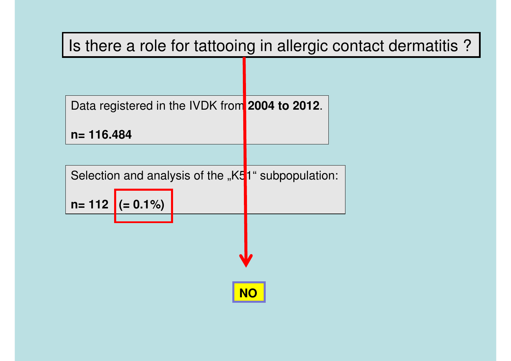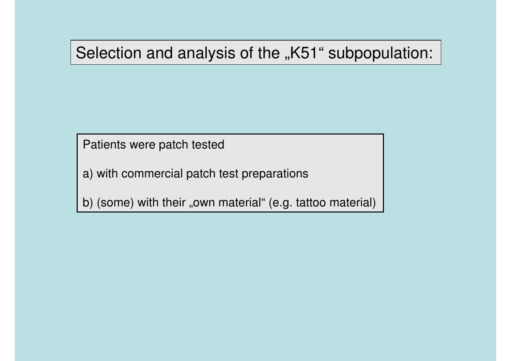### Selection and analysis of the "K51" subpopulation:

Patients were patch tested

a) with commercial patch test preparations

b) (some) with their "own material" (e.g. tattoo material)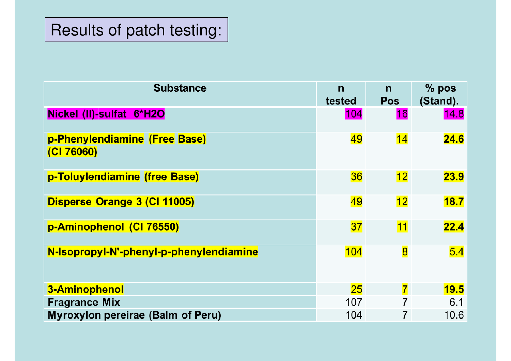| <b>Substance</b>                           | $\mathsf{n}$<br>tested | $\mathsf{n}$<br><b>Pos</b> | $%$ pos<br>(Stand). |
|--------------------------------------------|------------------------|----------------------------|---------------------|
| Nickel (II)-sulfat 6*H2O                   | 104                    | 16                         | 14.8                |
| p-Phenylendiamine (Free Base)<br>(C176060) | 49                     | 14                         | 24.6                |
| p-Toluylendiamine (free Base)              | 36                     | 12 <sub>1</sub>            | 23.9                |
| Disperse Orange 3 (CI 11005)               | 49                     | 12                         | 18.7                |
| p-Aminophenol (CI 76550)                   | 37                     | 11                         | 22.4                |
| N-Isopropyl-N'-phenyl-p-phenylendiamine    | 104                    | $\overline{\mathbf{8}}$    | 5.4                 |
| 3-Aminophenol                              | 25                     | 7                          | 19.5                |
| <b>Fragrance Mix</b>                       | 107                    |                            | 6.1                 |
| Myroxylon pereirae (Balm of Peru)          | 104                    | 7                          | 10.6                |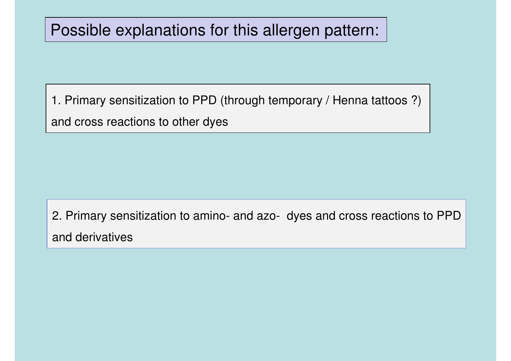### Possible explanations for this allergen pattern:

1. Primary sensitization to PPD (through temporary / Henna tattoos ?)

and cross reactions to other dyes

2. Primary sensitization to amino- and azo- dyes and cross reactions to PPDand derivatives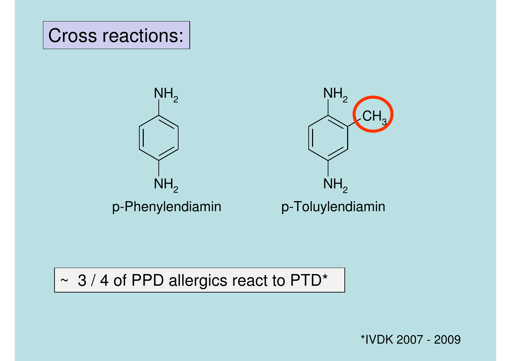

### ~ 3 / 4 of PPD allergics react to PTD\*

\*IVDK 2007 - 2009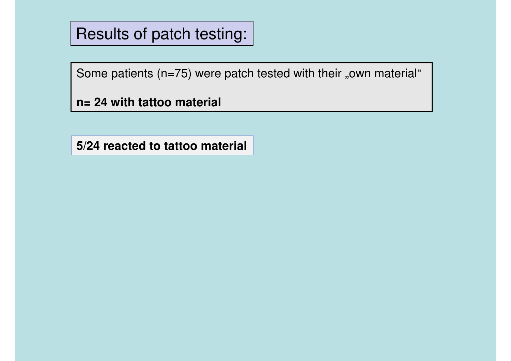Some patients ( $n=75$ ) were patch tested with their "own material"

**n= 24 with tattoo material**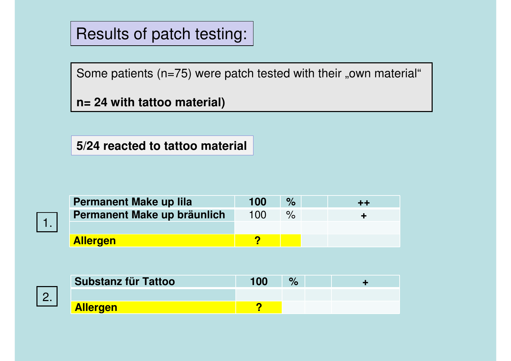Some patients  $(n=75)$  were patch tested with their "own material"

**n= 24 with tattoo material)**



| Permanent Make up lila      | 100 | $\%$ | THE R |
|-----------------------------|-----|------|-------|
| Permanent Make up bräunlich | 100 |      |       |
|                             |     |      |       |
| <b>Allergen</b>             |     |      |       |



| <b>Substanz für Tattoo</b> | 100 | $\frac{1}{2}$ |  |
|----------------------------|-----|---------------|--|
|                            |     |               |  |
| <b>Allergen</b>            |     |               |  |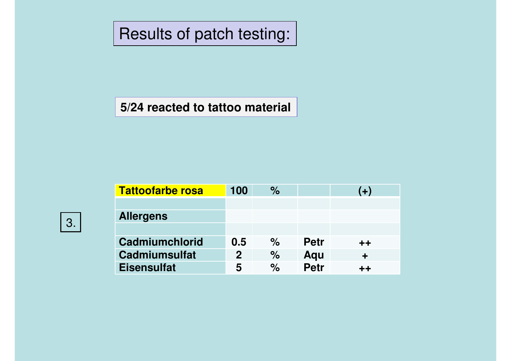#### **5/24 reacted to tattoo material**

| <b>Tattoofarbe rosa</b> | 100         | $\%$ |             | $(+)$  |
|-------------------------|-------------|------|-------------|--------|
|                         |             |      |             |        |
| <b>Allergens</b>        |             |      |             |        |
|                         |             |      |             |        |
| Cadmiumchlorid          | 0.5         | $\%$ | <b>Petr</b> | $+ +$  |
| <b>Cadmiumsulfat</b>    | $\mathbf 2$ | $\%$ | Aqu         | $\div$ |
| <b>Eisensulfat</b>      | 5           | $\%$ | <b>Petr</b> | $++$   |
|                         |             |      |             |        |

3.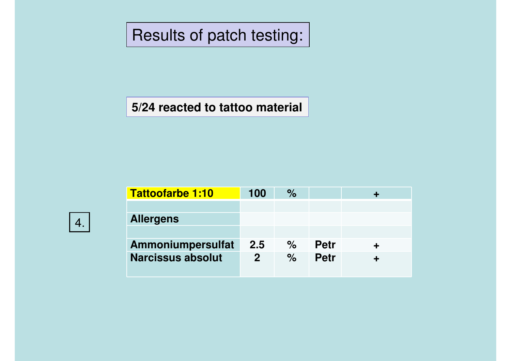| <b>Petr</b> |  |
|-------------|--|
| <b>Petr</b> |  |
|             |  |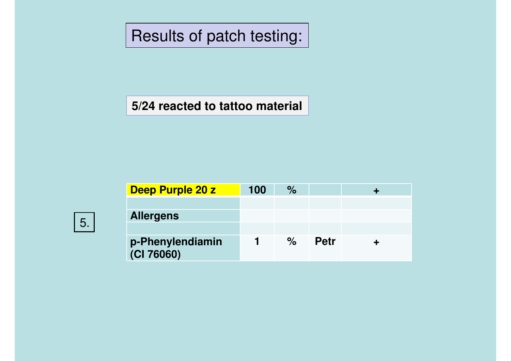| п |  |
|---|--|
|   |  |

| Deep Purple 20 z               | 100 | $\%$ |             |  |
|--------------------------------|-----|------|-------------|--|
|                                |     |      |             |  |
| <b>Allergens</b>               |     |      |             |  |
|                                |     |      |             |  |
| p-Phenylendiamin<br>(CI 76060) |     | $\%$ | <b>Petr</b> |  |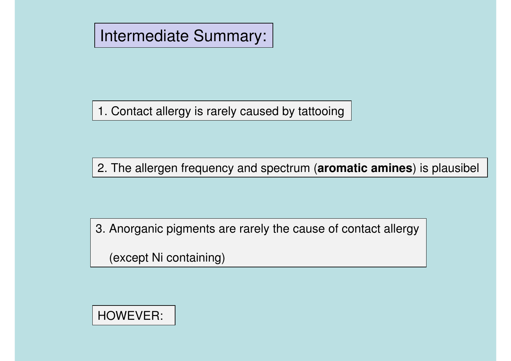### Intermediate Summary:

1. Contact allergy is rarely caused by tattooing

2. The allergen frequency and spectrum (**aromatic amines**) is plausibel

3. Anorganic pigments are rarely the cause of contact allergy

(except Ni containing)

### HOWEVER: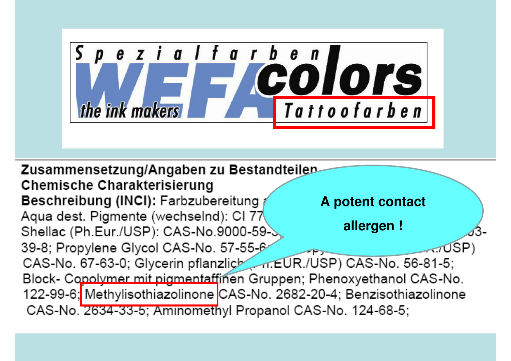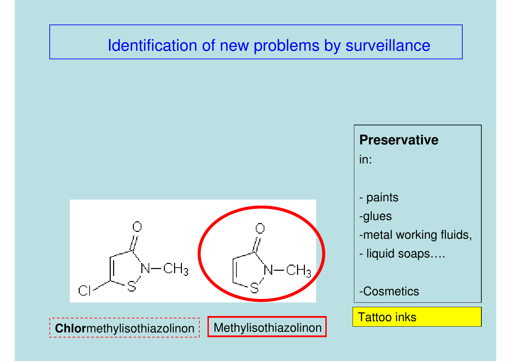### Identification of new problems by surveillance



#### **Preservative**

in:

- paints
- -glues
- -metal working fluids,
- liquid soaps….
- -Cosmetics

#### Tattoo inks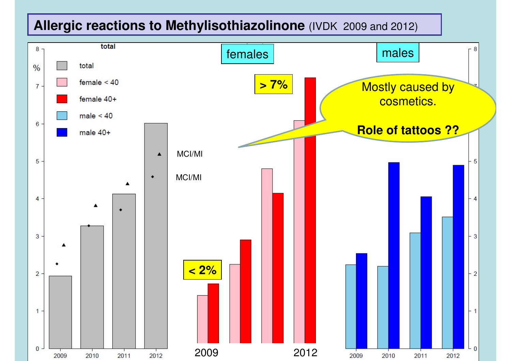# **Allergic reactions to Methylisothiazolinone** (IVDK 2009 and 2012)

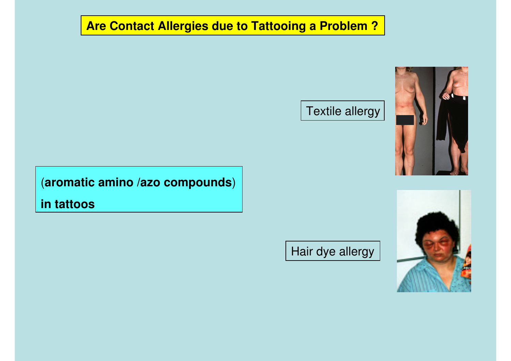#### **Are Contact Allergies due to Tattooing a Problem ?**

#### Textile allergy



(**aromatic amino /azo compounds**)

**in tattoos**

Hair dye allergy

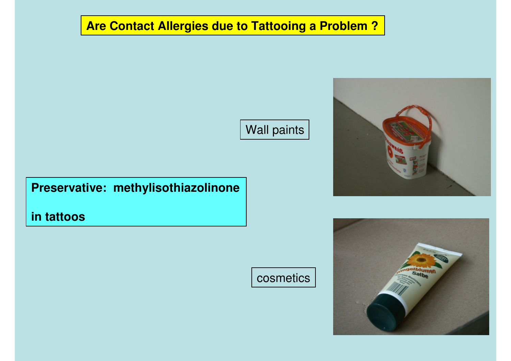#### **Are Contact Allergies due to Tattooing a Problem ?**

Wall paints

#### **Preservative: methylisothiazolinone**

**in tattoos**



cosmetics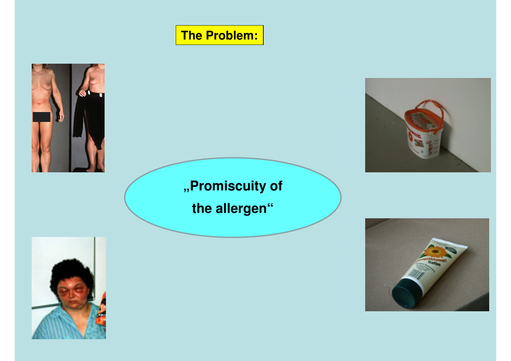### **The Problem:**





# **"Promiscuity ofthe allergen"**